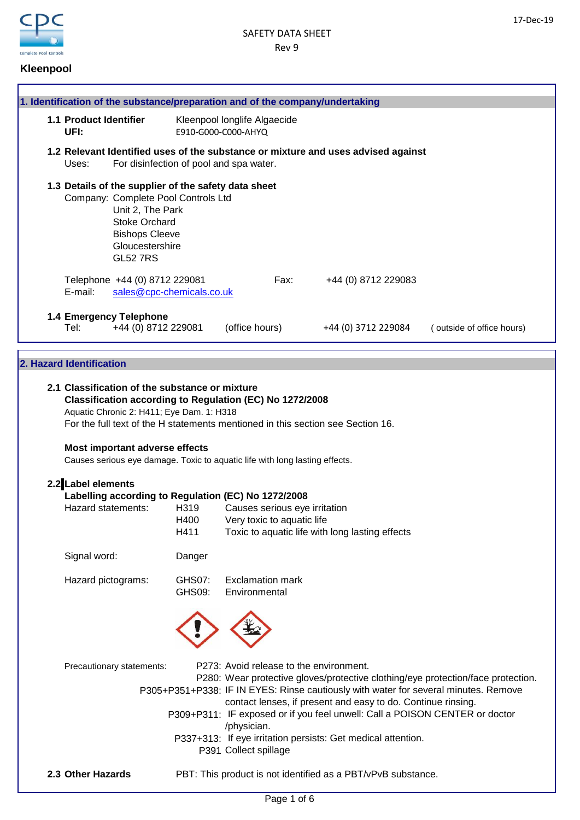

# **Kleenpool**

|                                                                                                                                                                                                                                                                                     |                                                                                                                                                                                                        |                                | 1. Identification of the substance/preparation and of the company/undertaking |      |                                                                                   |                                                                                     |
|-------------------------------------------------------------------------------------------------------------------------------------------------------------------------------------------------------------------------------------------------------------------------------------|--------------------------------------------------------------------------------------------------------------------------------------------------------------------------------------------------------|--------------------------------|-------------------------------------------------------------------------------|------|-----------------------------------------------------------------------------------|-------------------------------------------------------------------------------------|
| 1.1 Product Identifier<br>UFI:                                                                                                                                                                                                                                                      |                                                                                                                                                                                                        |                                | Kleenpool longlife Algaecide<br>E910-G000-C000-AHYQ                           |      |                                                                                   |                                                                                     |
| Uses:                                                                                                                                                                                                                                                                               | For disinfection of pool and spa water.                                                                                                                                                                |                                |                                                                               |      | 1.2 Relevant Identified uses of the substance or mixture and uses advised against |                                                                                     |
|                                                                                                                                                                                                                                                                                     | 1.3 Details of the supplier of the safety data sheet<br>Company: Complete Pool Controls Ltd<br>Unit 2, The Park<br><b>Stoke Orchard</b><br><b>Bishops Cleeve</b><br>Gloucestershire<br><b>GL52 7RS</b> |                                |                                                                               |      |                                                                                   |                                                                                     |
| E-mail:                                                                                                                                                                                                                                                                             | Telephone +44 (0) 8712 229081<br>sales@cpc-chemicals.co.uk                                                                                                                                             |                                |                                                                               | Fax: | +44 (0) 8712 229083                                                               |                                                                                     |
| Tel:                                                                                                                                                                                                                                                                                | 1.4 Emergency Telephone<br>+44 (0) 8712 229081                                                                                                                                                         |                                | (office hours)                                                                |      | +44 (0) 3712 229084                                                               | (outside of office hours)                                                           |
|                                                                                                                                                                                                                                                                                     |                                                                                                                                                                                                        |                                |                                                                               |      |                                                                                   |                                                                                     |
| 2. Hazard Identification                                                                                                                                                                                                                                                            |                                                                                                                                                                                                        |                                |                                                                               |      |                                                                                   |                                                                                     |
| 2.1 Classification of the substance or mixture<br>Classification according to Regulation (EC) No 1272/2008<br>Aquatic Chronic 2: H411; Eye Dam. 1: H318<br>For the full text of the H statements mentioned in this section see Section 16.<br><b>Most important adverse effects</b> |                                                                                                                                                                                                        |                                |                                                                               |      |                                                                                   |                                                                                     |
| Causes serious eye damage. Toxic to aquatic life with long lasting effects.                                                                                                                                                                                                         |                                                                                                                                                                                                        |                                |                                                                               |      |                                                                                   |                                                                                     |
|                                                                                                                                                                                                                                                                                     |                                                                                                                                                                                                        |                                |                                                                               |      |                                                                                   |                                                                                     |
| 2.2 Label elements                                                                                                                                                                                                                                                                  |                                                                                                                                                                                                        |                                | Labelling according to Regulation (EC) No 1272/2008                           |      |                                                                                   |                                                                                     |
| Hazard statements:                                                                                                                                                                                                                                                                  |                                                                                                                                                                                                        | H319                           | Causes serious eye irritation                                                 |      |                                                                                   |                                                                                     |
|                                                                                                                                                                                                                                                                                     |                                                                                                                                                                                                        | H400                           | Very toxic to aquatic life                                                    |      |                                                                                   |                                                                                     |
|                                                                                                                                                                                                                                                                                     |                                                                                                                                                                                                        | H411                           |                                                                               |      | Toxic to aquatic life with long lasting effects                                   |                                                                                     |
| Signal word:                                                                                                                                                                                                                                                                        |                                                                                                                                                                                                        | Danger                         |                                                                               |      |                                                                                   |                                                                                     |
| Hazard pictograms:                                                                                                                                                                                                                                                                  |                                                                                                                                                                                                        | <b>GHS07:</b><br><b>GHS09:</b> | <b>Exclamation mark</b><br>Environmental                                      |      |                                                                                   |                                                                                     |
|                                                                                                                                                                                                                                                                                     |                                                                                                                                                                                                        |                                |                                                                               |      |                                                                                   |                                                                                     |
|                                                                                                                                                                                                                                                                                     | Precautionary statements:                                                                                                                                                                              |                                | P273: Avoid release to the environment.                                       |      |                                                                                   | P280: Wear protective gloves/protective clothing/eye protection/face protection.    |
|                                                                                                                                                                                                                                                                                     |                                                                                                                                                                                                        |                                |                                                                               |      | contact lenses, if present and easy to do. Continue rinsing.                      | P305+P351+P338: IF IN EYES: Rinse cautiously with water for several minutes. Remove |
|                                                                                                                                                                                                                                                                                     |                                                                                                                                                                                                        |                                | /physician.                                                                   |      |                                                                                   | P309+P311: IF exposed or if you feel unwell: Call a POISON CENTER or doctor         |
|                                                                                                                                                                                                                                                                                     |                                                                                                                                                                                                        |                                | P391 Collect spillage                                                         |      | P337+313: If eye irritation persists: Get medical attention.                      |                                                                                     |
| 2.3 Other Hazards                                                                                                                                                                                                                                                                   |                                                                                                                                                                                                        |                                |                                                                               |      | PBT: This product is not identified as a PBT/vPvB substance.                      |                                                                                     |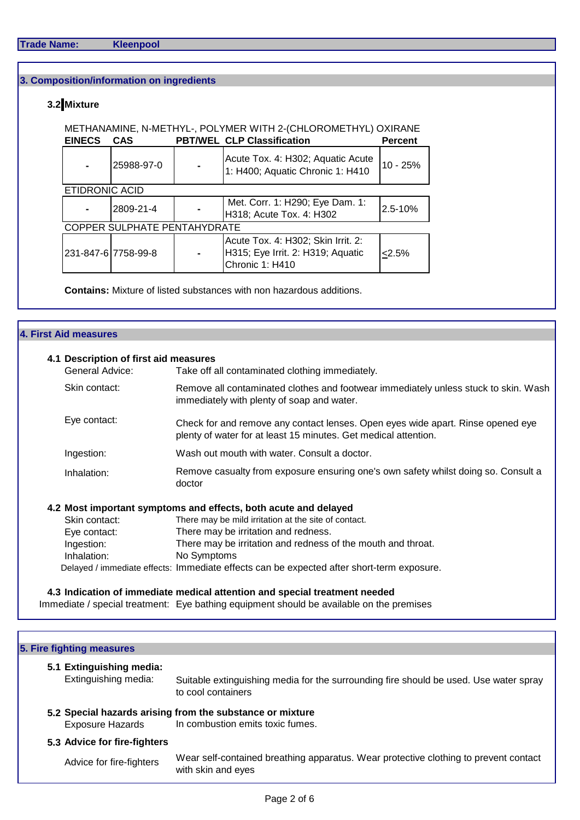# **3. Composition/information on ingredients**

# **3.2 Mixture**

### METHANAMINE, N-METHYL-, POLYMER WITH 2-(CHLOROMETHYL) OXIRANE

| <b>EINECS</b>                | <b>CAS</b>          |                | <b>PBT/WEL CLP Classification</b>                                                          | <b>Percent</b> |  |
|------------------------------|---------------------|----------------|--------------------------------------------------------------------------------------------|----------------|--|
|                              | 25988-97-0          |                | Acute Tox. 4: H302; Aquatic Acute<br>1: H400; Aquatic Chronic 1: H410                      | $10 - 25%$     |  |
| <b>ETIDRONIC ACID</b>        |                     |                |                                                                                            |                |  |
|                              | 2809-21-4           |                | Met. Corr. 1: H290; Eye Dam. 1:<br>H318; Acute Tox. 4: H302                                | 2.5-10%        |  |
| COPPER SULPHATE PENTAHYDRATE |                     |                |                                                                                            |                |  |
|                              | 231-847-6 7758-99-8 | $\blacksquare$ | Acute Tox. 4: H302; Skin Irrit. 2:<br>H315; Eye Irrit. 2: H319; Aquatic<br>Chronic 1: H410 | 2.5%           |  |

**Contains:** Mixture of listed substances with non hazardous additions.

#### **4. First Aid measures**

# **4.1 Description of first aid measures** General Advice: Take off all contaminated clothing immediately. Skin contact: Eye contact: Ingestion: Wash out mouth with water. Consult a doctor. Inhalation: **4.2 Most important symptoms and effects, both acute and delayed** Skin contact: There may be mild irritation at the site of contact. Eye contact: There may be irritation and redness. Ingestion: There may be irritation and redness of the mouth and throat. Inhalation: Delayed / immediate effects: Immediate effects can be expected after short-term exposure. Check for and remove any contact lenses. Open eyes wide apart. Rinse opened eye plenty of water for at least 15 minutes. Get medical attention. Remove casualty from exposure ensuring one's own safety whilst doing so. Consult a doctor No Symptoms Remove all contaminated clothes and footwear immediately unless stuck to skin. Wash immediately with plenty of soap and water.

**4.3 Indication of immediate medical attention and special treatment needed** Immediate / special treatment: Eye bathing equipment should be available on the premises

| 5. Fire fighting measures                        |                                                                                                             |
|--------------------------------------------------|-------------------------------------------------------------------------------------------------------------|
| 5.1 Extinguishing media:<br>Extinguishing media: | Suitable extinguishing media for the surrounding fire should be used. Use water spray<br>to cool containers |
| <b>Exposure Hazards</b>                          | 5.2 Special hazards arising from the substance or mixture<br>In combustion emits toxic fumes.               |
| 5.3 Advice for fire-fighters                     |                                                                                                             |
| Advice for fire-fighters                         | Wear self-contained breathing apparatus. Wear protective clothing to prevent contact<br>with skin and eyes  |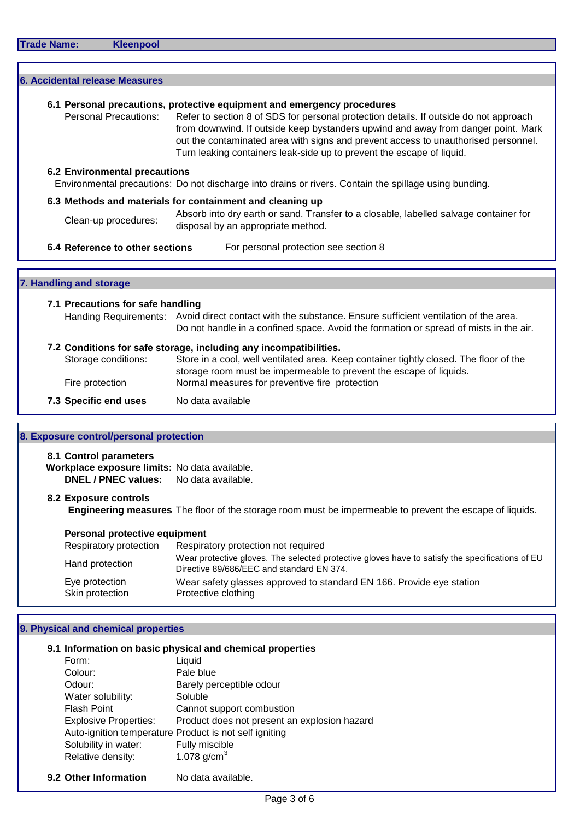| <b>Frade Name:</b> |  |  |
|--------------------|--|--|
|                    |  |  |

**Kleenpool** 

|                                      | 6.1 Personal precautions, protective equipment and emergency procedures                                                                                                                                                                                                                                                                   |
|--------------------------------------|-------------------------------------------------------------------------------------------------------------------------------------------------------------------------------------------------------------------------------------------------------------------------------------------------------------------------------------------|
| <b>Personal Precautions:</b>         | Refer to section 8 of SDS for personal protection details. If outside do not approach<br>from downwind. If outside keep bystanders upwind and away from danger point. Mark<br>out the contaminated area with signs and prevent access to unauthorised personnel.<br>Turn leaking containers leak-side up to prevent the escape of liquid. |
| <b>6.2 Environmental precautions</b> |                                                                                                                                                                                                                                                                                                                                           |
|                                      | Environmental precautions: Do not discharge into drains or rivers. Contain the spillage using bunding.                                                                                                                                                                                                                                    |
|                                      | 6.3 Methods and materials for containment and cleaning up                                                                                                                                                                                                                                                                                 |
| Clean-up procedures:                 | Absorb into dry earth or sand. Transfer to a closable, labelled salvage container for<br>disposal by an appropriate method.                                                                                                                                                                                                               |
| 7. Handling and storage              |                                                                                                                                                                                                                                                                                                                                           |
| 7.1 Precautions for safe handling    |                                                                                                                                                                                                                                                                                                                                           |
|                                      |                                                                                                                                                                                                                                                                                                                                           |
|                                      | Handing Requirements: Avoid direct contact with the substance. Ensure sufficient ventilation of the area.<br>Do not handle in a confined space. Avoid the formation or spread of mists in the air.                                                                                                                                        |
|                                      | 7.2 Conditions for safe storage, including any incompatibilities.                                                                                                                                                                                                                                                                         |
| Storage conditions:                  |                                                                                                                                                                                                                                                                                                                                           |
| Fire protection                      | Store in a cool, well ventilated area. Keep container tightly closed. The floor of the<br>storage room must be impermeable to prevent the escape of liquids.<br>Normal measures for preventive fire protection                                                                                                                            |

**Workplace exposure limits:** No data available. **DNEL / PNEC values:** No data available.

#### **8.2 Exposure controls**

**Engineering measures** The floor of the storage room must be impermeable to prevent the escape of liquids.

| <b>Personal protective equipment</b> |                                                                                                                                              |  |  |  |  |
|--------------------------------------|----------------------------------------------------------------------------------------------------------------------------------------------|--|--|--|--|
| Respiratory protection               | Respiratory protection not required                                                                                                          |  |  |  |  |
| Hand protection                      | Wear protective gloves. The selected protective gloves have to satisfy the specifications of EU<br>Directive 89/686/EEC and standard EN 374. |  |  |  |  |
| Eye protection<br>Skin protection    | Wear safety glasses approved to standard EN 166. Provide eye station<br>Protective clothing                                                  |  |  |  |  |

# **9. Physical and chemical properties**

#### **9.1 Information on basic physical and chemical properties** Form: Liquid

| FOND.                        | Liguid                                                 |
|------------------------------|--------------------------------------------------------|
| Colour:                      | Pale blue                                              |
| Odour:                       | Barely perceptible odour                               |
| Water solubility:            | Soluble                                                |
| <b>Flash Point</b>           | Cannot support combustion                              |
| <b>Explosive Properties:</b> | Product does not present an explosion hazard           |
|                              | Auto-ignition temperature Product is not self igniting |
| Solubility in water:         | Fully miscible                                         |
| Relative density:            | 1.078 $q/cm^{3}$                                       |
|                              |                                                        |

**9.2 Other Information** No data available.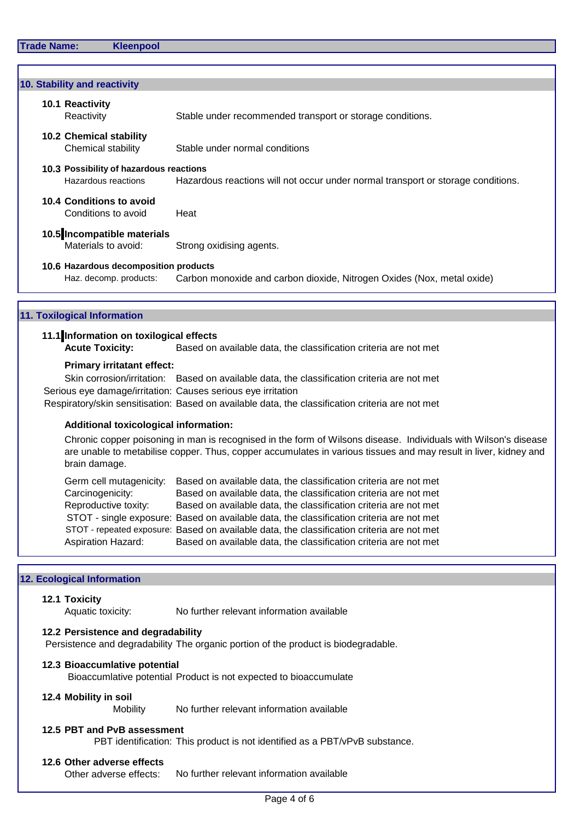| <b>Trade Name:</b> | <b>Kleenpool</b>                                                      |                                                                                                                                                                                                                                                                                                                                                                                                                                                                                                |
|--------------------|-----------------------------------------------------------------------|------------------------------------------------------------------------------------------------------------------------------------------------------------------------------------------------------------------------------------------------------------------------------------------------------------------------------------------------------------------------------------------------------------------------------------------------------------------------------------------------|
|                    |                                                                       |                                                                                                                                                                                                                                                                                                                                                                                                                                                                                                |
|                    | 10. Stability and reactivity                                          |                                                                                                                                                                                                                                                                                                                                                                                                                                                                                                |
|                    | 10.1 Reactivity<br>Reactivity                                         | Stable under recommended transport or storage conditions.                                                                                                                                                                                                                                                                                                                                                                                                                                      |
|                    | <b>10.2 Chemical stability</b><br>Chemical stability                  | Stable under normal conditions                                                                                                                                                                                                                                                                                                                                                                                                                                                                 |
|                    | 10.3 Possibility of hazardous reactions<br>Hazardous reactions        | Hazardous reactions will not occur under normal transport or storage conditions.                                                                                                                                                                                                                                                                                                                                                                                                               |
|                    | 10.4 Conditions to avoid<br>Conditions to avoid                       | Heat                                                                                                                                                                                                                                                                                                                                                                                                                                                                                           |
|                    | 10.5 Incompatible materials<br>Materials to avoid:                    | Strong oxidising agents.                                                                                                                                                                                                                                                                                                                                                                                                                                                                       |
|                    | 10.6 Hazardous decomposition products<br>Haz. decomp. products:       | Carbon monoxide and carbon dioxide, Nitrogen Oxides (Nox, metal oxide)                                                                                                                                                                                                                                                                                                                                                                                                                         |
|                    | <b>11. Toxilogical Information</b>                                    |                                                                                                                                                                                                                                                                                                                                                                                                                                                                                                |
|                    | 11.1 Information on toxilogical effects<br><b>Acute Toxicity:</b>     | Based on available data, the classification criteria are not met                                                                                                                                                                                                                                                                                                                                                                                                                               |
|                    | <b>Primary irritatant effect:</b>                                     | Skin corrosion/irritation: Based on available data, the classification criteria are not met<br>Serious eye damage/irritation: Causes serious eye irritation<br>Respiratory/skin sensitisation: Based on available data, the classification criteria are not met                                                                                                                                                                                                                                |
|                    | <b>Additional toxicological information:</b>                          |                                                                                                                                                                                                                                                                                                                                                                                                                                                                                                |
|                    | brain damage.                                                         | Chronic copper poisoning in man is recognised in the form of Wilsons disease. Individuals with Wilson's disease<br>are unable to metabilise copper. Thus, copper accumulates in various tissues and may result in liver, kidney and                                                                                                                                                                                                                                                            |
|                    | Carcinogenicity:<br>Reproductive toxity:<br><b>Aspiration Hazard:</b> | Germ cell mutagenicity: Based on available data, the classification criteria are not met<br>Based on available data, the classification criteria are not met<br>Based on available data, the classification criteria are not met<br>STOT - single exposure: Based on available data, the classification criteria are not met<br>STOT - repeated exposure: Based on available data, the classification criteria are not met<br>Based on available data, the classification criteria are not met |
|                    | <b>12. Ecological Information</b>                                     |                                                                                                                                                                                                                                                                                                                                                                                                                                                                                                |
|                    | 12.1 Toxicity<br>Aquatic toxicity:                                    | No further relevant information available                                                                                                                                                                                                                                                                                                                                                                                                                                                      |
|                    | 12.2 Persistence and degradability                                    | Persistence and degradability The organic portion of the product is biodegradable.                                                                                                                                                                                                                                                                                                                                                                                                             |
|                    | 12.3 Bioaccumlative potential                                         | Bioaccumlative potential Product is not expected to bioaccumulate                                                                                                                                                                                                                                                                                                                                                                                                                              |
|                    | 12.4 Mobility in soil<br>Mobility                                     | No further relevant information available                                                                                                                                                                                                                                                                                                                                                                                                                                                      |

# **12.5 PBT and PvB assessment**

PBT identification: This product is not identified as a PBT/vPvB substance.

# **12.6 Other adverse effects**

No further relevant information available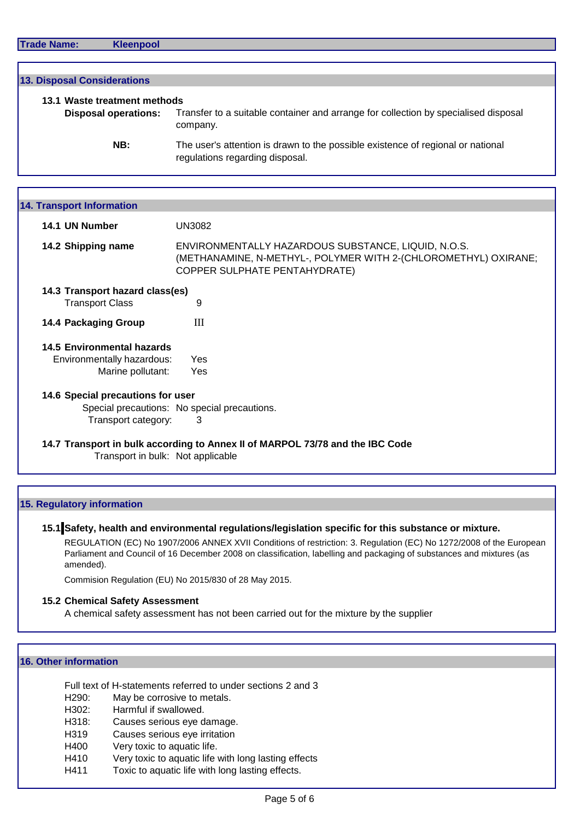| Transfer to a suitable container and arrange for collection by specialised disposal |
|-------------------------------------------------------------------------------------|
| The user's attention is drawn to the possible existence of regional or national     |
|                                                                                     |

| $17.11$ ansport mioniauon         |                                                                                                                                                         |  |  |  |
|-----------------------------------|---------------------------------------------------------------------------------------------------------------------------------------------------------|--|--|--|
| 14.1 UN Number                    | <b>UN3082</b>                                                                                                                                           |  |  |  |
| 14.2 Shipping name                | ENVIRONMENTALLY HAZARDOUS SUBSTANCE, LIQUID, N.O.S.<br>(METHANAMINE, N-METHYL-, POLYMER WITH 2-(CHLOROMETHYL) OXIRANE;<br>COPPER SULPHATE PENTAHYDRATE) |  |  |  |
| 14.3 Transport hazard class(es)   |                                                                                                                                                         |  |  |  |
| <b>Transport Class</b>            | 9                                                                                                                                                       |  |  |  |
| <b>14.4 Packaging Group</b>       | Ш                                                                                                                                                       |  |  |  |
| <b>14.5 Environmental hazards</b> |                                                                                                                                                         |  |  |  |
| Environmentally hazardous:        | <b>Yes</b>                                                                                                                                              |  |  |  |
| Marine pollutant:                 | Yes                                                                                                                                                     |  |  |  |
| 14.6 Special precautions for user |                                                                                                                                                         |  |  |  |
|                                   | Special precautions: No special precautions.                                                                                                            |  |  |  |
| Transport category:               | 3                                                                                                                                                       |  |  |  |
| Transport in bulk: Not applicable | 14.7 Transport in bulk according to Annex II of MARPOL 73/78 and the IBC Code                                                                           |  |  |  |
|                                   |                                                                                                                                                         |  |  |  |

# **15. Regulatory information**

# **15.1 Safety, health and environmental regulations/legislation specific for this substance or mixture.**

REGULATION (EC) No 1907/2006 ANNEX XVII Conditions of restriction: 3. Regulation (EC) No 1272/2008 of the European Parliament and Council of 16 December 2008 on classification, labelling and packaging of substances and mixtures (as amended).

Commision Regulation (EU) No 2015/830 of 28 May 2015.

#### **15.2 Chemical Safety Assessment**

A chemical safety assessment has not been carried out for the mixture by the supplier

#### **16. Other information**

Full text of H-statements referred to under sections 2 and 3

- H290: May be corrosive to metals.
- H302: Harmful if swallowed.
- H318: Causes serious eye damage.
- H319 Causes serious eye irritation
- H400 Very toxic to aquatic life.
- H410 Very toxic to aquatic life with long lasting effects
- H411 Toxic to aquatic life with long lasting effects.